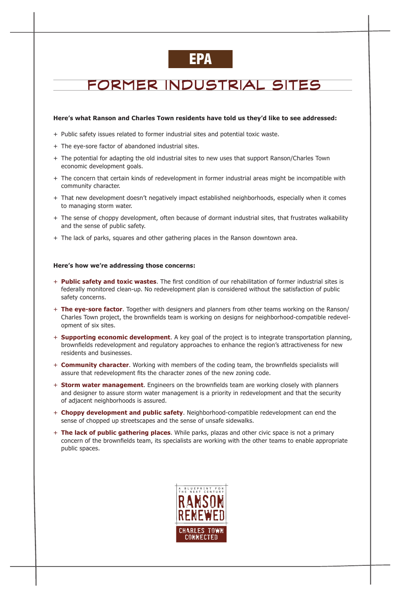## FORMER INDUSTRIAL SITES

#### **Here's what Ranson and Charles Town residents have told us they'd like to see addressed:**

- + Public safety issues related to former industrial sites and potential toxic waste.
- + The eye-sore factor of abandoned industrial sites.
- + The potential for adapting the old industrial sites to new uses that support Ranson/Charles Town economic development goals.
- + The concern that certain kinds of redevelopment in former industrial areas might be incompatible with community character.
- + That new development doesn't negatively impact established neighborhoods, especially when it comes to managing storm water.
- + The sense of choppy development, often because of dormant industrial sites, that frustrates walkability and the sense of public safety.
- + The lack of parks, squares and other gathering places in the Ranson downtown area.

#### **Here's how we're addressing those concerns:**

- + **Public safety and toxic wastes**. The first condition of our rehabilitation of former industrial sites is federally monitored clean-up. No redevelopment plan is considered without the satisfaction of public safety concerns.
- + **The eye-sore factor**. Together with designers and planners from other teams working on the Ranson/ Charles Town project, the brownfields team is working on designs for neighborhood-compatible redevelopment of six sites.
- + **Supporting economic development**. A key goal of the project is to integrate transportation planning, brownfields redevelopment and regulatory approaches to enhance the region's attractiveness for new residents and businesses.
- + **Community character**. Working with members of the coding team, the brownfields specialists will assure that redevelopment fits the character zones of the new zoning code.
- + **Storm water management**. Engineers on the brownfields team are working closely with planners and designer to assure storm water management is a priority in redevelopment and that the security of adjacent neighborhoods is assured.
- + **Choppy development and public safety**. Neighborhood-compatible redevelopment can end the

sense of chopped up streetscapes and the sense of unsafe sidewalks.

+ **The lack of public gathering places**. While parks, plazas and other civic space is not a primary concern of the brownfields team, its specialists are working with the other teams to enable appropriate public spaces.



## EPA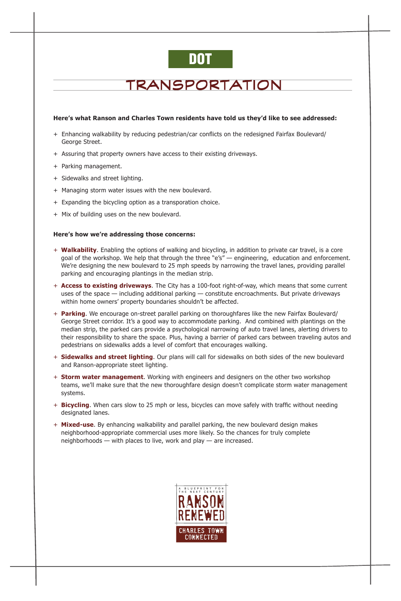### TRANSPORTATION

#### **Here's what Ranson and Charles Town residents have told us they'd like to see addressed:**

- + Enhancing walkability by reducing pedestrian/car conflicts on the redesigned Fairfax Boulevard/ George Street.
- + Assuring that property owners have access to their existing driveways.
- + Parking management.
- + Sidewalks and street lighting.
- + Managing storm water issues with the new boulevard.
- + Expanding the bicycling option as a transporation choice.
- + Mix of building uses on the new boulevard.

#### **Here's how we're addressing those concerns:**

- + **Walkability**. Enabling the options of walking and bicycling, in addition to private car travel, is a core goal of the workshop. We help that through the three "e's" — engineering, education and enforcement. We're designing the new boulevard to 25 mph speeds by narrowing the travel lanes, providing parallel parking and encouraging plantings in the median strip.
- + **Access to existing driveways**. The City has a 100-foot right-of-way, which means that some current uses of the space — including additional parking — constitute encroachments. But private driveways within home owners' property boundaries shouldn't be affected.
- + **Parking**. We encourage on-street parallel parking on thoroughfares like the new Fairfax Boulevard/ George Street corridor. It's a good way to accommodate parking. And combined with plantings on the median strip, the parked cars provide a psychological narrowing of auto travel lanes, alerting drivers to their responsibility to share the space. Plus, having a barrier of parked cars between traveling autos and pedestrians on sidewalks adds a level of comfort that encourages walking.
- + **Sidewalks and street lighting**. Our plans will call for sidewalks on both sides of the new boulevard and Ranson-appropriate steet lighting.
- + **Storm water management**. Working with engineers and designers on the other two workshop teams, we'll make sure that the new thoroughfare design doesn't complicate storm water management systems.
- + **Bicycling**. When cars slow to 25 mph or less, bicycles can move safely with traffic without needing designated lanes.
- + **Mixed-use**. By enhancing walkability and parallel parking, the new boulevard design makes neighborhood-appropriate commercial uses more likely. So the chances for truly complete neighborhoods — with places to live, work and play — are increased.



# DOT